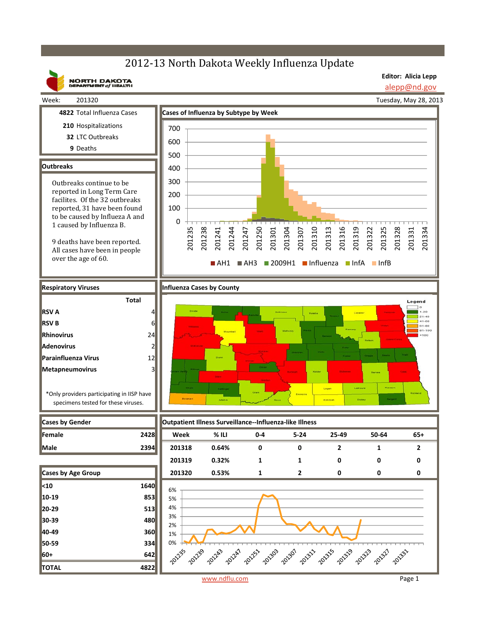## 2012-13 North Dakota Weekly Influenza Update

**Editor: Alicia Lepp**